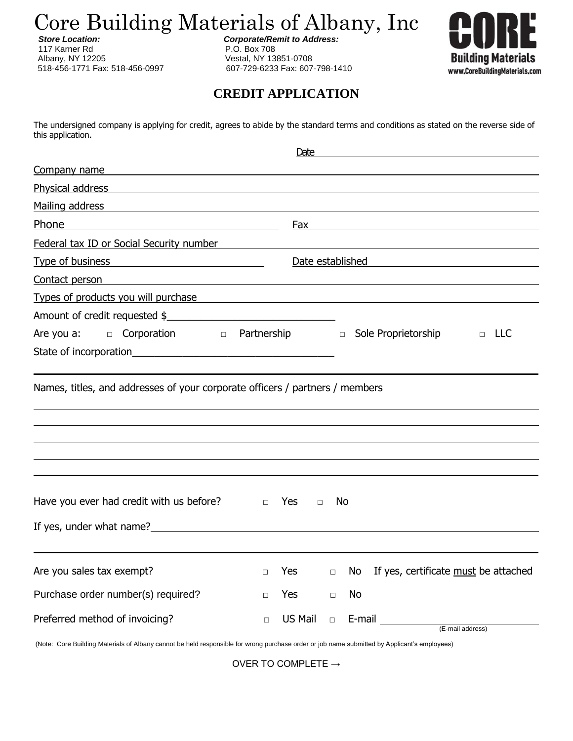Core Building Materials of Albany, Inc

117 Karner Rd **P.O. Box 708** Albany, NY 12205<br>
518-456-1771 Fax: 518-456-0997 607-729-6233 Fax: 607

 *Store Location: Corporate/Remit to Address:*

518-456-1771 Fax: 518-456-0997 607-729-6233 Fax: 607-798-1410



## **CREDIT APPLICATION**

The undersigned company is applying for credit, agrees to abide by the standard terms and conditions as stated on the reverse side of this application.

|                                                                                                                                                                                                                                                                     |                      | Date          |                                                                                                                                                                                                                                |                  |
|---------------------------------------------------------------------------------------------------------------------------------------------------------------------------------------------------------------------------------------------------------------------|----------------------|---------------|--------------------------------------------------------------------------------------------------------------------------------------------------------------------------------------------------------------------------------|------------------|
| Company name                                                                                                                                                                                                                                                        |                      |               |                                                                                                                                                                                                                                |                  |
| <u>Physical address and the contract of the contract of the contract of the contract of the contract of the contract of the contract of the contract of the contract of the contract of the contract of the contract of the cont</u>                                |                      |               |                                                                                                                                                                                                                                |                  |
| Mailing address                                                                                                                                                                                                                                                     |                      |               |                                                                                                                                                                                                                                |                  |
| Phone                                                                                                                                                                                                                                                               |                      |               |                                                                                                                                                                                                                                |                  |
| Federal tax ID or Social Security number                                                                                                                                                                                                                            |                      |               |                                                                                                                                                                                                                                |                  |
| Date established and the state of the state of the state of the state of the state of the state of the state of the state of the state of the state of the state of the state of the state of the state of the state of the st<br>Type of business Type of business |                      |               |                                                                                                                                                                                                                                |                  |
| <u>Contact person</u> experience and the contract person of the contract person of the contract person of the contract of the contract of the contract of the contract of the contract of the contract of the contract of the contr                                 |                      |               |                                                                                                                                                                                                                                |                  |
| Types of products you will purchase <b>Service Service Service Service Service Service Service Service Service Service Service Service Service Service Service Service Service Service Service Service Service Service Service S</b>                                |                      |               |                                                                                                                                                                                                                                |                  |
| Amount of credit requested \$                                                                                                                                                                                                                                       |                      |               |                                                                                                                                                                                                                                |                  |
| Are you a: $\Box$ Corporation $\Box$ Partnership $\Box$ Sole Proprietorship                                                                                                                                                                                         |                      |               |                                                                                                                                                                                                                                | $\Box$ LLC       |
|                                                                                                                                                                                                                                                                     |                      |               |                                                                                                                                                                                                                                |                  |
|                                                                                                                                                                                                                                                                     |                      |               |                                                                                                                                                                                                                                |                  |
| Have you ever had credit with us before?                                                                                                                                                                                                                            | <b>Yes</b><br>$\Box$ | No.<br>$\Box$ |                                                                                                                                                                                                                                |                  |
|                                                                                                                                                                                                                                                                     |                      |               |                                                                                                                                                                                                                                |                  |
| Are you sales tax exempt?                                                                                                                                                                                                                                           | Yes<br>$\Box$        | $\Box$        | No If yes, certificate must be attached                                                                                                                                                                                        |                  |
| Purchase order number(s) required?                                                                                                                                                                                                                                  | Yes<br>$\Box$        | No<br>$\Box$  |                                                                                                                                                                                                                                |                  |
| Preferred method of invoicing?                                                                                                                                                                                                                                      | US Mail<br>$\Box$    | $\Box$        | E-mail E-mail E-mail E-mail E-mail E-mail E-mail E-mail E-mail E-mail E-mail E-mail E-mail E-mail E-mail E-mail E-mail E-mail E-mail E-mail E-mail E-mail E-mail E-mail E-mail E-mail E-mail E-mail E-mail E-mail E-mail E-mai | (E-mail address) |

(Note: Core Building Materials of Albany cannot be held responsible for wrong purchase order or job name submitted by Applicant's employees)

OVER TO COMPLETE  $\rightarrow$